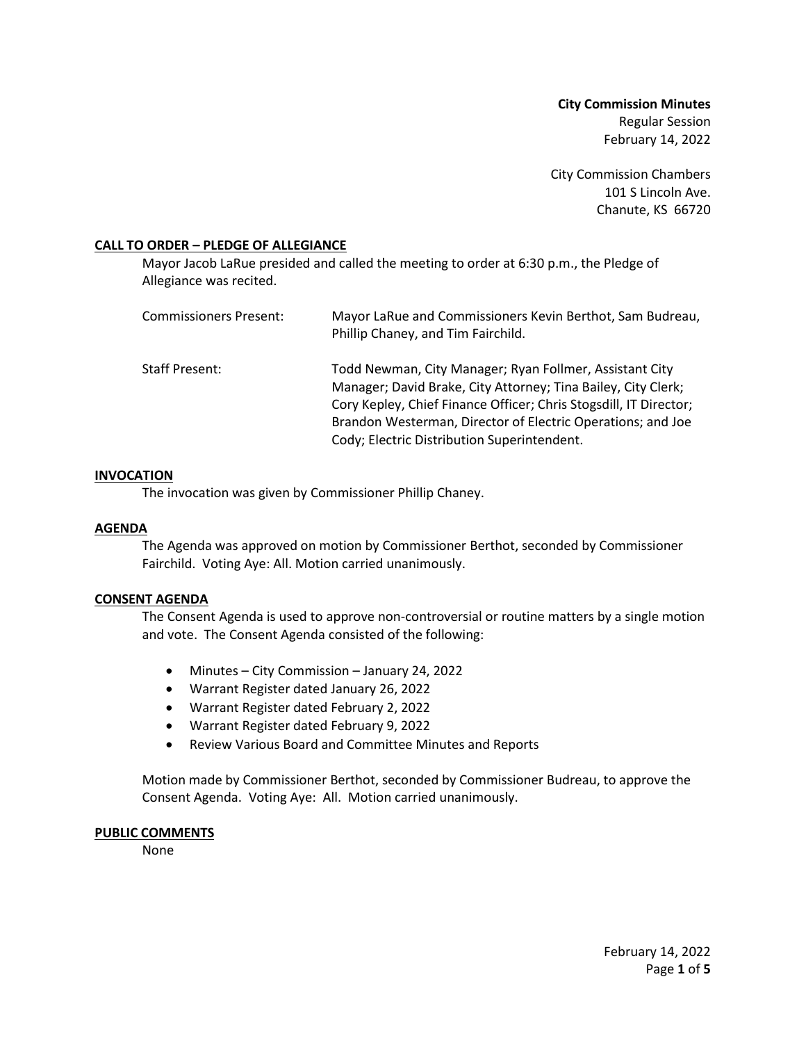**City Commission Minutes** Regular Session February 14, 2022

City Commission Chambers 101 S Lincoln Ave. Chanute, KS 66720

## **CALL TO ORDER – PLEDGE OF ALLEGIANCE**

Mayor Jacob LaRue presided and called the meeting to order at 6:30 p.m., the Pledge of Allegiance was recited.

| Commissioners Present: | Mayor LaRue and Commissioners Kevin Berthot, Sam Budreau,<br>Phillip Chaney, and Tim Fairchild.                                                                                                                                                                                                             |
|------------------------|-------------------------------------------------------------------------------------------------------------------------------------------------------------------------------------------------------------------------------------------------------------------------------------------------------------|
| Staff Present:         | Todd Newman, City Manager; Ryan Follmer, Assistant City<br>Manager; David Brake, City Attorney; Tina Bailey, City Clerk;<br>Cory Kepley, Chief Finance Officer; Chris Stogsdill, IT Director;<br>Brandon Westerman, Director of Electric Operations; and Joe<br>Cody; Electric Distribution Superintendent. |

### **INVOCATION**

The invocation was given by Commissioner Phillip Chaney.

### **AGENDA**

The Agenda was approved on motion by Commissioner Berthot, seconded by Commissioner Fairchild. Voting Aye: All. Motion carried unanimously.

#### **CONSENT AGENDA**

The Consent Agenda is used to approve non-controversial or routine matters by a single motion and vote. The Consent Agenda consisted of the following:

- Minutes City Commission January 24, 2022
- Warrant Register dated January 26, 2022
- Warrant Register dated February 2, 2022
- Warrant Register dated February 9, 2022
- Review Various Board and Committee Minutes and Reports

Motion made by Commissioner Berthot, seconded by Commissioner Budreau, to approve the Consent Agenda. Voting Aye: All. Motion carried unanimously.

#### **PUBLIC COMMENTS**

None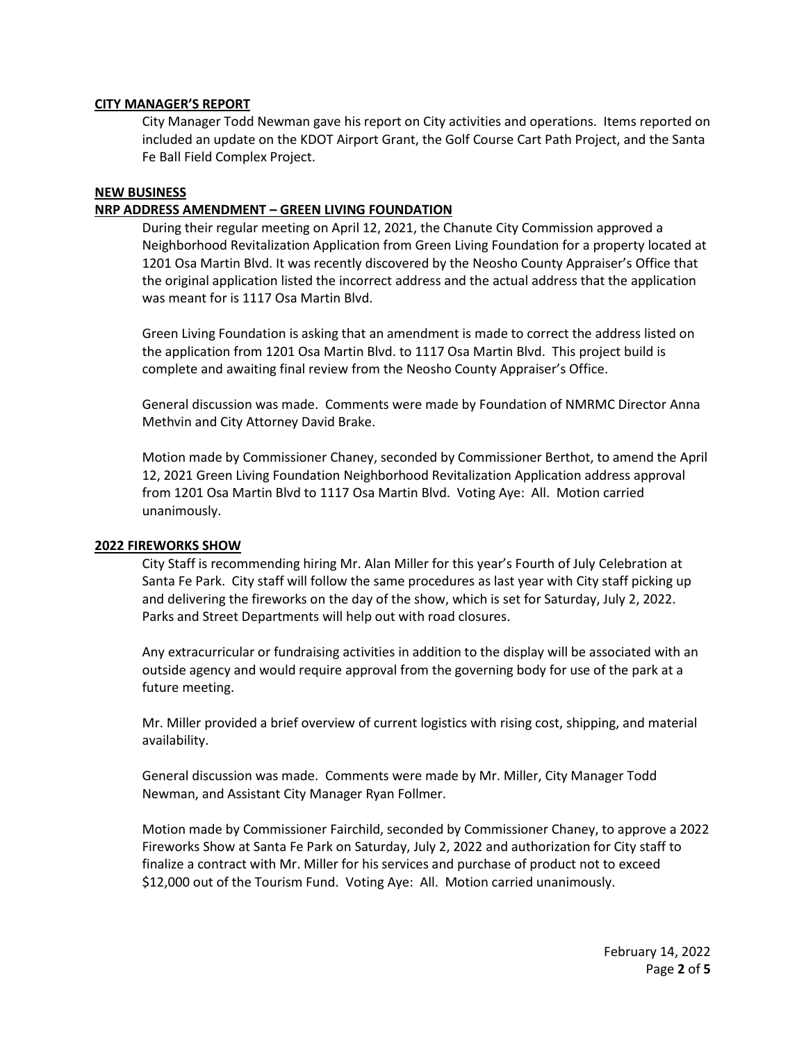## **CITY MANAGER'S REPORT**

City Manager Todd Newman gave his report on City activities and operations. Items reported on included an update on the KDOT Airport Grant, the Golf Course Cart Path Project, and the Santa Fe Ball Field Complex Project.

# **NEW BUSINESS**

# **NRP ADDRESS AMENDMENT – GREEN LIVING FOUNDATION**

During their regular meeting on April 12, 2021, the Chanute City Commission approved a Neighborhood Revitalization Application from Green Living Foundation for a property located at 1201 Osa Martin Blvd. It was recently discovered by the Neosho County Appraiser's Office that the original application listed the incorrect address and the actual address that the application was meant for is 1117 Osa Martin Blvd.

Green Living Foundation is asking that an amendment is made to correct the address listed on the application from 1201 Osa Martin Blvd. to 1117 Osa Martin Blvd. This project build is complete and awaiting final review from the Neosho County Appraiser's Office.

General discussion was made. Comments were made by Foundation of NMRMC Director Anna Methvin and City Attorney David Brake.

Motion made by Commissioner Chaney, seconded by Commissioner Berthot, to amend the April 12, 2021 Green Living Foundation Neighborhood Revitalization Application address approval from 1201 Osa Martin Blvd to 1117 Osa Martin Blvd. Voting Aye: All. Motion carried unanimously.

### **2022 FIREWORKS SHOW**

City Staff is recommending hiring Mr. Alan Miller for this year's Fourth of July Celebration at Santa Fe Park. City staff will follow the same procedures as last year with City staff picking up and delivering the fireworks on the day of the show, which is set for Saturday, July 2, 2022. Parks and Street Departments will help out with road closures.

Any extracurricular or fundraising activities in addition to the display will be associated with an outside agency and would require approval from the governing body for use of the park at a future meeting.

Mr. Miller provided a brief overview of current logistics with rising cost, shipping, and material availability.

General discussion was made. Comments were made by Mr. Miller, City Manager Todd Newman, and Assistant City Manager Ryan Follmer.

Motion made by Commissioner Fairchild, seconded by Commissioner Chaney, to approve a 2022 Fireworks Show at Santa Fe Park on Saturday, July 2, 2022 and authorization for City staff to finalize a contract with Mr. Miller for his services and purchase of product not to exceed \$12,000 out of the Tourism Fund. Voting Aye: All. Motion carried unanimously.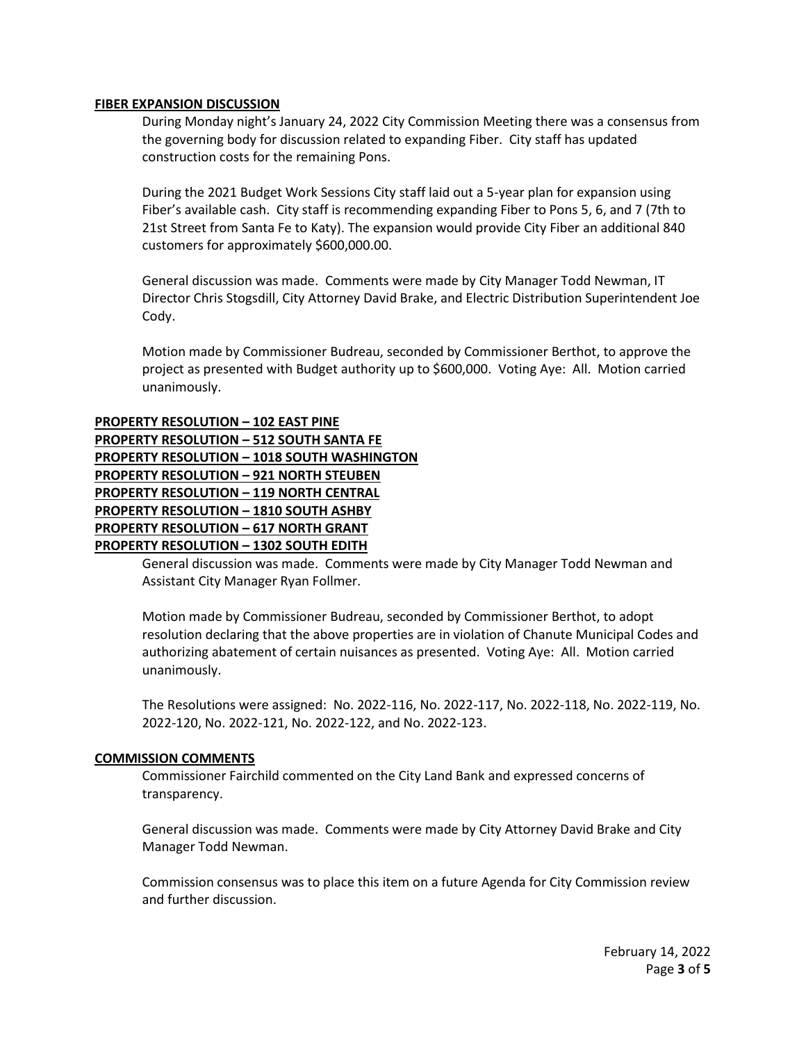## **FIBER EXPANSION DISCUSSION**

During Monday night's January 24, 2022 City Commission Meeting there was a consensus from the governing body for discussion related to expanding Fiber. City staff has updated construction costs for the remaining Pons.

During the 2021 Budget Work Sessions City staff laid out a 5-year plan for expansion using Fiber's available cash. City staff is recommending expanding Fiber to Pons 5, 6, and 7 (7th to 21st Street from Santa Fe to Katy). The expansion would provide City Fiber an additional 840 customers for approximately \$600,000.00.

General discussion was made. Comments were made by City Manager Todd Newman, IT Director Chris Stogsdill, City Attorney David Brake, and Electric Distribution Superintendent Joe Cody.

Motion made by Commissioner Budreau, seconded by Commissioner Berthot, to approve the project as presented with Budget authority up to \$600,000. Voting Aye: All. Motion carried unanimously.

# **PROPERTY RESOLUTION – 102 EAST PINE**

| <b>PROPERTY RESOLUTION - 512 SOUTH SANTA FE</b>    |
|----------------------------------------------------|
| <b>PROPERTY RESOLUTION - 1018 SOUTH WASHINGTON</b> |
| <b>PROPERTY RESOLUTION - 921 NORTH STEUBEN</b>     |
| <b>PROPERTY RESOLUTION - 119 NORTH CENTRAL</b>     |
| <b>PROPERTY RESOLUTION - 1810 SOUTH ASHBY</b>      |
| <b>PROPERTY RESOLUTION - 617 NORTH GRANT</b>       |
| <b>PROPERTY RESOLUTION - 1302 SOUTH EDITH</b>      |
|                                                    |

General discussion was made. Comments were made by City Manager Todd Newman and Assistant City Manager Ryan Follmer.

Motion made by Commissioner Budreau, seconded by Commissioner Berthot, to adopt resolution declaring that the above properties are in violation of Chanute Municipal Codes and authorizing abatement of certain nuisances as presented. Voting Aye: All. Motion carried unanimously.

The Resolutions were assigned: No. 2022-116, No. 2022-117, No. 2022-118, No. 2022-119, No. 2022-120, No. 2022-121, No. 2022-122, and No. 2022-123.

### **COMMISSION COMMENTS**

Commissioner Fairchild commented on the City Land Bank and expressed concerns of transparency.

General discussion was made. Comments were made by City Attorney David Brake and City Manager Todd Newman.

Commission consensus was to place this item on a future Agenda for City Commission review and further discussion.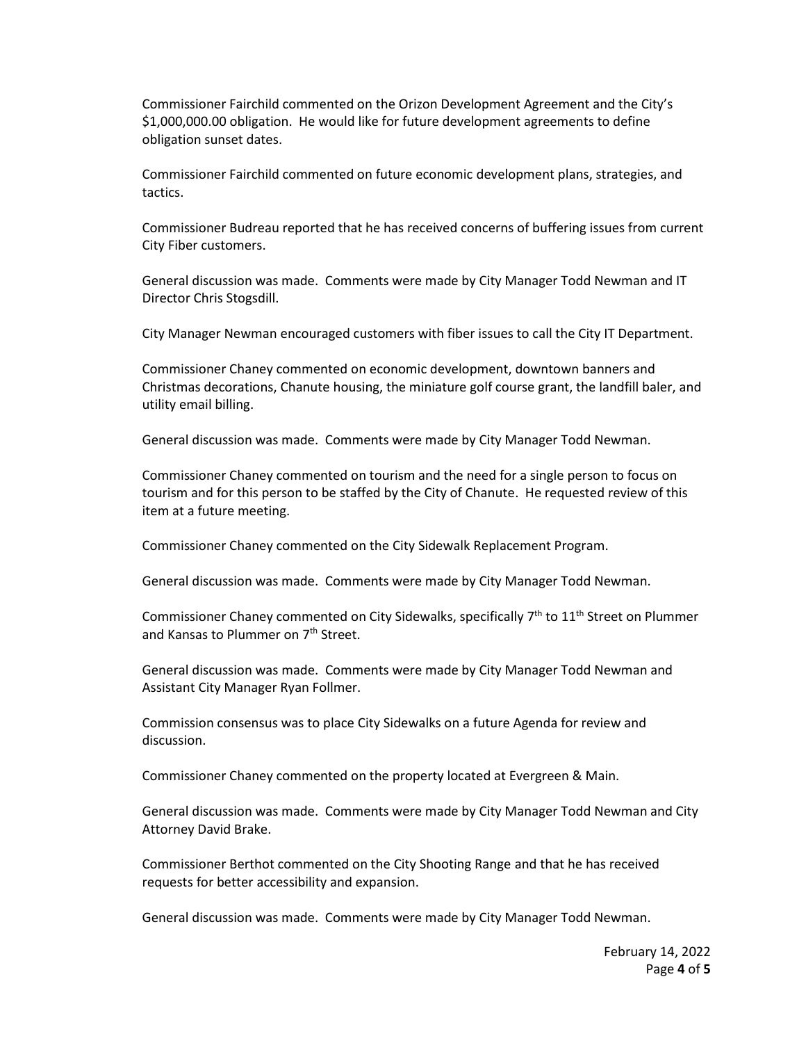Commissioner Fairchild commented on the Orizon Development Agreement and the City's \$1,000,000.00 obligation. He would like for future development agreements to define obligation sunset dates.

Commissioner Fairchild commented on future economic development plans, strategies, and tactics.

Commissioner Budreau reported that he has received concerns of buffering issues from current City Fiber customers.

General discussion was made. Comments were made by City Manager Todd Newman and IT Director Chris Stogsdill.

City Manager Newman encouraged customers with fiber issues to call the City IT Department.

Commissioner Chaney commented on economic development, downtown banners and Christmas decorations, Chanute housing, the miniature golf course grant, the landfill baler, and utility email billing.

General discussion was made. Comments were made by City Manager Todd Newman.

Commissioner Chaney commented on tourism and the need for a single person to focus on tourism and for this person to be staffed by the City of Chanute. He requested review of this item at a future meeting.

Commissioner Chaney commented on the City Sidewalk Replacement Program.

General discussion was made. Comments were made by City Manager Todd Newman.

Commissioner Chaney commented on City Sidewalks, specifically  $7<sup>th</sup>$  to  $11<sup>th</sup>$  Street on Plummer and Kansas to Plummer on 7<sup>th</sup> Street.

General discussion was made. Comments were made by City Manager Todd Newman and Assistant City Manager Ryan Follmer.

Commission consensus was to place City Sidewalks on a future Agenda for review and discussion.

Commissioner Chaney commented on the property located at Evergreen & Main.

General discussion was made. Comments were made by City Manager Todd Newman and City Attorney David Brake.

Commissioner Berthot commented on the City Shooting Range and that he has received requests for better accessibility and expansion.

General discussion was made. Comments were made by City Manager Todd Newman.